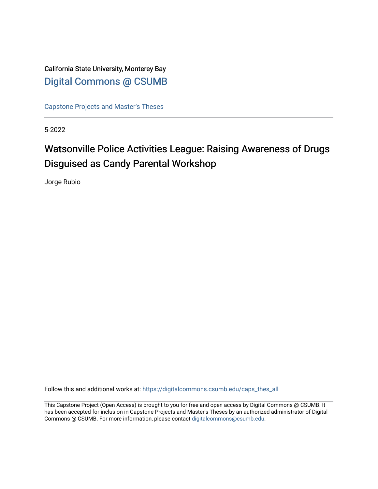California State University, Monterey Bay [Digital Commons @ CSUMB](https://digitalcommons.csumb.edu/)

[Capstone Projects and Master's Theses](https://digitalcommons.csumb.edu/caps_thes_all)

5-2022

# Watsonville Police Activities League: Raising Awareness of Drugs Disguised as Candy Parental Workshop

Jorge Rubio

Follow this and additional works at: [https://digitalcommons.csumb.edu/caps\\_thes\\_all](https://digitalcommons.csumb.edu/caps_thes_all?utm_source=digitalcommons.csumb.edu%2Fcaps_thes_all%2F1276&utm_medium=PDF&utm_campaign=PDFCoverPages)

This Capstone Project (Open Access) is brought to you for free and open access by Digital Commons @ CSUMB. It has been accepted for inclusion in Capstone Projects and Master's Theses by an authorized administrator of Digital Commons @ CSUMB. For more information, please contact [digitalcommons@csumb.edu](mailto:digitalcommons@csumb.edu).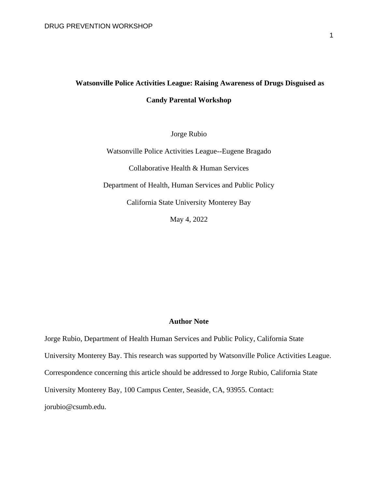## **Watsonville Police Activities League: Raising Awareness of Drugs Disguised as Candy Parental Workshop**

Jorge Rubio

Watsonville Police Activities League--Eugene Bragado Collaborative Health & Human Services Department of Health, Human Services and Public Policy California State University Monterey Bay

May 4, 2022

### **Author Note**

Jorge Rubio, Department of Health Human Services and Public Policy, California State University Monterey Bay. This research was supported by Watsonville Police Activities League. Correspondence concerning this article should be addressed to Jorge Rubio, California State University Monterey Bay, 100 Campus Center, Seaside, CA, 93955. Contact: jorubio@csumb.edu.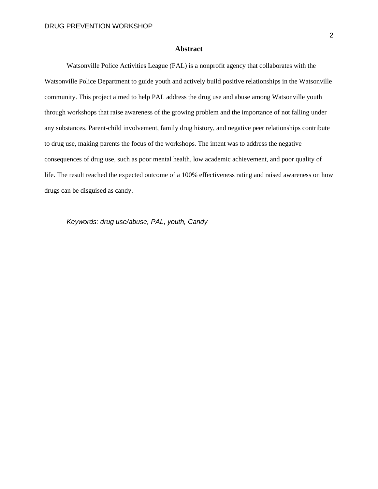#### **Abstract**

Watsonville Police Activities League (PAL) is a nonprofit agency that collaborates with the Watsonville Police Department to guide youth and actively build positive relationships in the Watsonville community. This project aimed to help PAL address the drug use and abuse among Watsonville youth through workshops that raise awareness of the growing problem and the importance of not falling under any substances. Parent-child involvement, family drug history, and negative peer relationships contribute to drug use, making parents the focus of the workshops. The intent was to address the negative consequences of drug use, such as poor mental health, low academic achievement, and poor quality of life. The result reached the expected outcome of a 100% effectiveness rating and raised awareness on how drugs can be disguised as candy.

*Keywords: drug use/abuse, PAL, youth, Candy*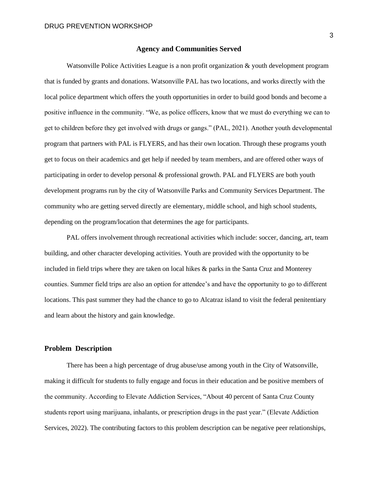#### **Agency and Communities Served**

Watsonville Police Activities League is a non profit organization & youth development program that is funded by grants and donations. Watsonville PAL has two locations, and works directly with the local police department which offers the youth opportunities in order to build good bonds and become a positive influence in the community. "We, as police officers, know that we must do everything we can to get to children before they get involved with drugs or gangs." (PAL, 2021). Another youth developmental program that partners with PAL is FLYERS, and has their own location. Through these programs youth get to focus on their academics and get help if needed by team members, and are offered other ways of participating in order to develop personal & professional growth. PAL and FLYERS are both youth development programs run by the city of Watsonville Parks and Community Services Department. The community who are getting served directly are elementary, middle school, and high school students, depending on the program/location that determines the age for participants.

PAL offers involvement through recreational activities which include: soccer, dancing, art, team building, and other character developing activities. Youth are provided with the opportunity to be included in field trips where they are taken on local hikes & parks in the Santa Cruz and Monterey counties. Summer field trips are also an option for attendee's and have the opportunity to go to different locations. This past summer they had the chance to go to Alcatraz island to visit the federal penitentiary and learn about the history and gain knowledge.

#### **Problem Description**

There has been a high percentage of drug abuse/use among youth in the City of Watsonville, making it difficult for students to fully engage and focus in their education and be positive members of the community. According to Elevate Addiction Services, "About 40 percent of Santa Cruz County students report using marijuana, inhalants, or prescription drugs in the past year." (Elevate Addiction Services, 2022). The contributing factors to this problem description can be negative peer relationships,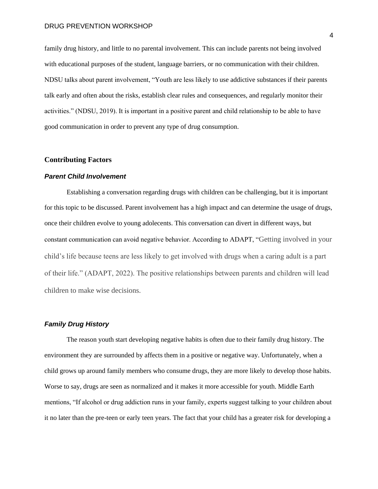#### DRUG PREVENTION WORKSHOP

family drug history, and little to no parental involvement. This can include parents not being involved with educational purposes of the student, language barriers, or no communication with their children. NDSU talks about parent involvement, "Youth are less likely to use addictive substances if their parents talk early and often about the risks, establish clear rules and consequences, and regularly monitor their activities." (NDSU, 2019). It is important in a positive parent and child relationship to be able to have good communication in order to prevent any type of drug consumption.

#### **Contributing Factors**

#### *Parent Child Involvement*

Establishing a conversation regarding drugs with children can be challenging, but it is important for this topic to be discussed. Parent involvement has a high impact and can determine the usage of drugs, once their children evolve to young adolecents. This conversation can divert in different ways, but constant communication can avoid negative behavior. According to ADAPT, "Getting involved in your child's life because teens are less likely to get involved with drugs when a caring adult is a part of their life." (ADAPT, 2022). The positive relationships between parents and children will lead children to make wise decisions.

## *Family Drug History*

The reason youth start developing negative habits is often due to their family drug history. The environment they are surrounded by affects them in a positive or negative way. Unfortunately, when a child grows up around family members who consume drugs, they are more likely to develop those habits. Worse to say, drugs are seen as normalized and it makes it more accessible for youth. Middle Earth mentions, "If alcohol or drug addiction runs in your family, experts suggest talking to your children about it no later than the pre-teen or early teen years. The fact that your child has a greater risk for developing a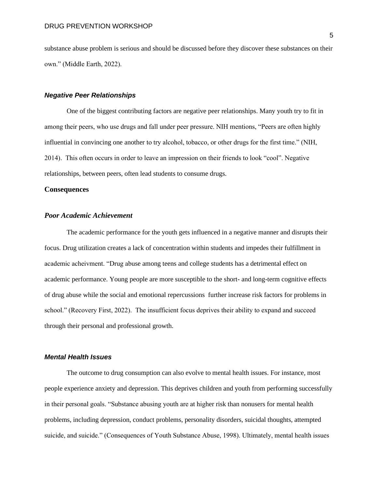substance abuse problem is serious and should be discussed before they discover these substances on their own." (Middle Earth, 2022).

#### *Negative Peer Relationships*

One of the biggest contributing factors are negative peer relationships. Many youth try to fit in among their peers, who use drugs and fall under peer pressure. NIH mentions, "Peers are often highly influential in convincing one another to try alcohol, tobacco, or other drugs for the first time." (NIH, 2014). This often occurs in order to leave an impression on their friends to look "cool". Negative relationships, between peers, often lead students to consume drugs.

#### **Consequences**

## *Poor Academic Achievement*

The academic performance for the youth gets influenced in a negative manner and disrupts their focus. Drug utilization creates a lack of concentration within students and impedes their fulfillment in academic acheivment. "Drug abuse among teens and college students has a detrimental effect on academic performance. Young people are more susceptible to the short- and long-term cognitive effects of drug abuse while the social and emotional repercussions further increase risk factors for problems in school." (Recovery First, 2022). The insufficient focus deprives their ability to expand and succeed through their personal and professional growth.

## *Mental Health Issues*

The outcome to drug consumption can also evolve to mental health issues. For instance, most people experience anxiety and depression. This deprives children and youth from performing successfully in their personal goals. "Substance abusing youth are at higher risk than nonusers for mental health problems, including depression, conduct problems, personality disorders, suicidal thoughts, attempted suicide, and suicide." (Consequences of Youth Substance Abuse, 1998). Ultimately, mental health issues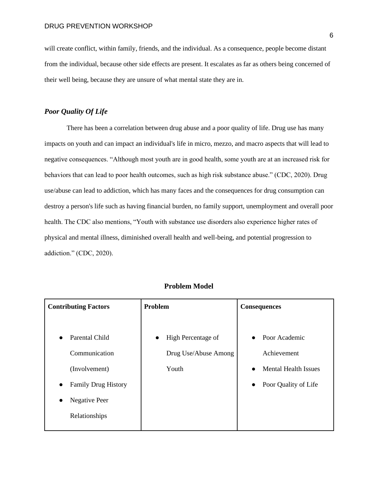will create conflict, within family, friends, and the individual. As a consequence, people become distant from the individual, because other side effects are present. It escalates as far as others being concerned of their well being, because they are unsure of what mental state they are in.

## *Poor Quality Of Life*

There has been a correlation between drug abuse and a poor quality of life. Drug use has many impacts on youth and can impact an individual's life in micro, mezzo, and macro aspects that will lead to negative consequences. "Although most youth are in good health, some youth are at an increased risk for behaviors that can lead to poor health outcomes, such as high risk substance abuse." (CDC, 2020). Drug use/abuse can lead to addiction, which has many faces and the consequences for drug consumption can destroy a person's life such as having financial burden, no family support, unemployment and overall poor health. The CDC also mentions, "Youth with substance use disorders also experience higher rates of physical and mental illness, diminished overall health and well-being, and potential progression to addiction." (CDC, 2020).

| <b>Contributing Factors</b>                                                                                                                             | Problem                                                          | <b>Consequences</b>                                                                                             |  |
|---------------------------------------------------------------------------------------------------------------------------------------------------------|------------------------------------------------------------------|-----------------------------------------------------------------------------------------------------------------|--|
| Parental Child<br>$\bullet$<br>Communication<br>(Involvement)<br><b>Family Drug History</b><br>$\bullet$<br>Negative Peer<br>$\bullet$<br>Relationships | High Percentage of<br>$\bullet$<br>Drug Use/Abuse Among<br>Youth | • Poor Academic<br>Achievement<br><b>Mental Health Issues</b><br>$\bullet$<br>Poor Quality of Life<br>$\bullet$ |  |
|                                                                                                                                                         |                                                                  |                                                                                                                 |  |

#### **Problem Model**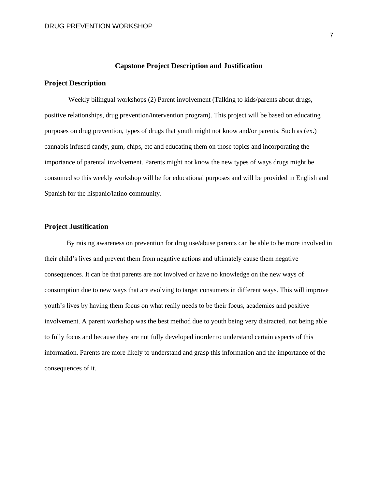## **Capstone Project Description and Justification**

### **Project Description**

Weekly bilingual workshops (2) Parent involvement (Talking to kids/parents about drugs, positive relationships, drug prevention/intervention program). This project will be based on educating purposes on drug prevention, types of drugs that youth might not know and/or parents. Such as (ex.) cannabis infused candy, gum, chips, etc and educating them on those topics and incorporating the importance of parental involvement. Parents might not know the new types of ways drugs might be consumed so this weekly workshop will be for educational purposes and will be provided in English and Spanish for the hispanic/latino community.

## **Project Justification**

By raising awareness on prevention for drug use/abuse parents can be able to be more involved in their child's lives and prevent them from negative actions and ultimately cause them negative consequences. It can be that parents are not involved or have no knowledge on the new ways of consumption due to new ways that are evolving to target consumers in different ways. This will improve youth's lives by having them focus on what really needs to be their focus, academics and positive involvement. A parent workshop was the best method due to youth being very distracted, not being able to fully focus and because they are not fully developed inorder to understand certain aspects of this information. Parents are more likely to understand and grasp this information and the importance of the consequences of it.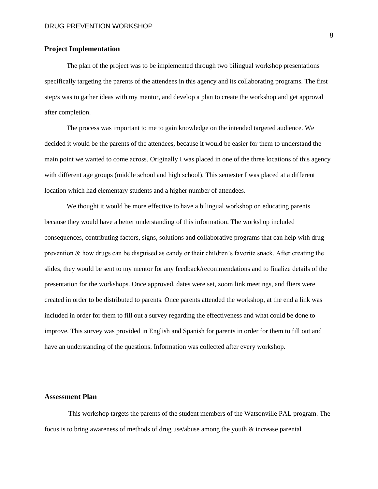## **Project Implementation**

The plan of the project was to be implemented through two bilingual workshop presentations specifically targeting the parents of the attendees in this agency and its collaborating programs. The first step/s was to gather ideas with my mentor, and develop a plan to create the workshop and get approval after completion.

The process was important to me to gain knowledge on the intended targeted audience. We decided it would be the parents of the attendees, because it would be easier for them to understand the main point we wanted to come across. Originally I was placed in one of the three locations of this agency with different age groups (middle school and high school). This semester I was placed at a different location which had elementary students and a higher number of attendees.

We thought it would be more effective to have a bilingual workshop on educating parents because they would have a better understanding of this information. The workshop included consequences, contributing factors, signs, solutions and collaborative programs that can help with drug prevention & how drugs can be disguised as candy or their children's favorite snack. After creating the slides, they would be sent to my mentor for any feedback/recommendations and to finalize details of the presentation for the workshops. Once approved, dates were set, zoom link meetings, and fliers were created in order to be distributed to parents. Once parents attended the workshop, at the end a link was included in order for them to fill out a survey regarding the effectiveness and what could be done to improve. This survey was provided in English and Spanish for parents in order for them to fill out and have an understanding of the questions. Information was collected after every workshop.

## **Assessment Plan**

This workshop targets the parents of the student members of the Watsonville PAL program. The focus is to bring awareness of methods of drug use/abuse among the youth & increase parental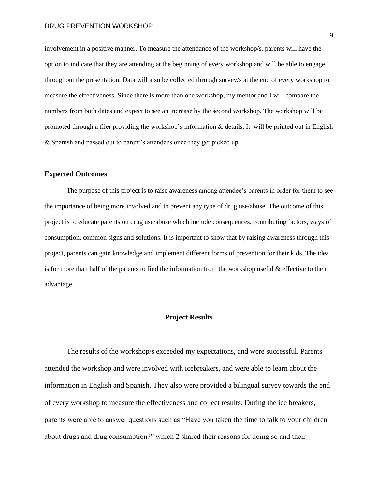involvement in a positive manner. To measure the attendance of the workshop/s, parents will have the option to indicate that they are attending at the beginning of every workshop and will be able to engage throughout the presentation. Data will also be collected through survey/s at the end of every workshop to measure the effectiveness. Since there is more than one workshop, my mentor and I will compare the numbers from both dates and expect to see an increase by the second workshop. The workshop will be promoted through a flier providing the workshop's information & details. It will be printed out in English & Spanish and passed out to parent's attendees once they get picked up.

#### **Expected Outcomes**

The purpose of this project is to raise awareness among attendee's parents in order for them to see the importance of being more involved and to prevent any type of drug use/abuse. The outcome of this project is to educate parents on drug use/abuse which include consequences, contributing factors, ways of consumption, common signs and solutions. It is important to show that by raising awareness through this project, parents can gain knowledge and implement different forms of prevention for their kids. The idea is for more than half of the parents to find the information from the workshop useful & effective to their advantage.

## **Project Results**

The results of the workshop/s exceeded my expectations, and were successful. Parents attended the workshop and were involved with icebreakers, and were able to learn about the information in English and Spanish. They also were provided a bilingual survey towards the end of every workshop to measure the effectiveness and collect results. During the ice breakers, parents were able to answer questions such as "Have you taken the time to talk to your children about drugs and drug consumption?" which 2 shared their reasons for doing so and their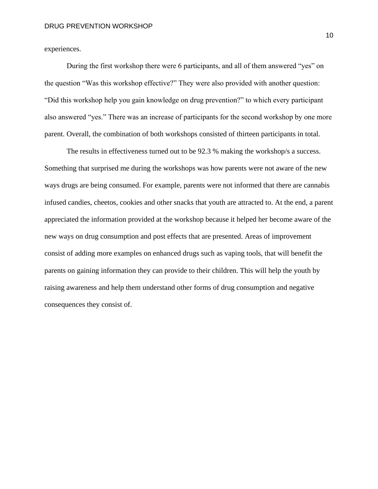experiences.

During the first workshop there were 6 participants, and all of them answered "yes" on the question "Was this workshop effective?" They were also provided with another question: "Did this workshop help you gain knowledge on drug prevention?" to which every participant also answered "yes." There was an increase of participants for the second workshop by one more parent. Overall, the combination of both workshops consisted of thirteen participants in total.

The results in effectiveness turned out to be 92.3 % making the workshop/s a success. Something that surprised me during the workshops was how parents were not aware of the new ways drugs are being consumed. For example, parents were not informed that there are cannabis infused candies, cheetos, cookies and other snacks that youth are attracted to. At the end, a parent appreciated the information provided at the workshop because it helped her become aware of the new ways on drug consumption and post effects that are presented. Areas of improvement consist of adding more examples on enhanced drugs such as vaping tools, that will benefit the parents on gaining information they can provide to their children. This will help the youth by raising awareness and help them understand other forms of drug consumption and negative consequences they consist of.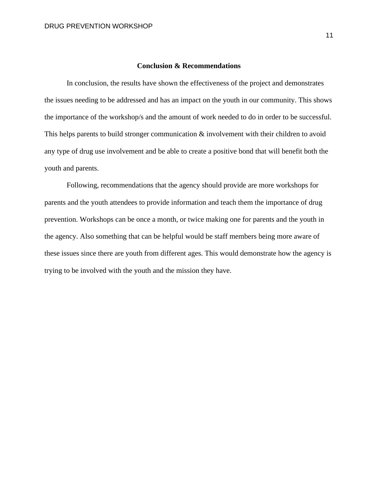## **Conclusion & Recommendations**

In conclusion, the results have shown the effectiveness of the project and demonstrates the issues needing to be addressed and has an impact on the youth in our community. This shows the importance of the workshop/s and the amount of work needed to do in order to be successful. This helps parents to build stronger communication  $\&$  involvement with their children to avoid any type of drug use involvement and be able to create a positive bond that will benefit both the youth and parents.

Following, recommendations that the agency should provide are more workshops for parents and the youth attendees to provide information and teach them the importance of drug prevention. Workshops can be once a month, or twice making one for parents and the youth in the agency. Also something that can be helpful would be staff members being more aware of these issues since there are youth from different ages. This would demonstrate how the agency is trying to be involved with the youth and the mission they have.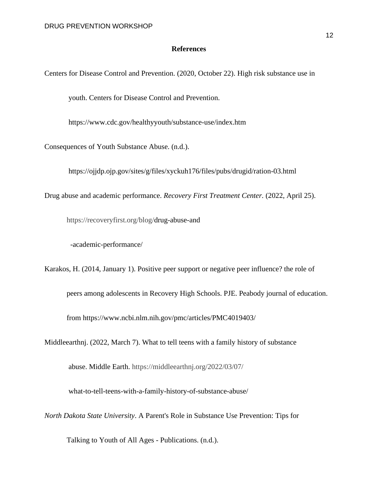## **References**

Centers for Disease Control and Prevention. (2020, October 22). High risk substance use in

youth. Centers for Disease Control and Prevention.

https://www.cdc.gov/healthyyouth/substance-use/index.htm

Consequences of Youth Substance Abuse. (n.d.).

https://ojjdp.ojp.gov/sites/g/files/xyckuh176/files/pubs/drugid/ration-03.html

Drug abuse and academic performance. *Recovery First Treatment Center.* (2022, April 25).

[https://recoveryfirst.org/blog/d](https://recoveryfirst.org/blog/)rug-abuse-and

-academic-performance/

Karakos, H. (2014, January 1). Positive peer support or negative peer influence? the role of

peers among adolescents in Recovery High Schools. PJE. Peabody journal of education.

from https://www.ncbi.nlm.nih.gov/pmc/articles/PMC4019403/

Middleearthnj. (2022, March 7). What to tell teens with a family history of substance

abuse. Middle Earth.<https://middleearthnj.org/2022/03/07/>

what-to-tell-teens-with-a-family-history-of-substance-abuse/

*North Dakota State University*. A Parent's Role in Substance Use Prevention: Tips for

Talking to Youth of All Ages - Publications. (n.d.).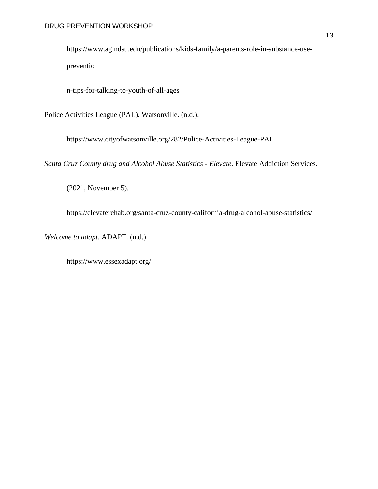https://www.ag.ndsu.edu/publications/kids-family/a-parents-role-in-substance-usepreventio

n-tips-for-talking-to-youth-of-all-ages

Police Activities League (PAL). Watsonville. (n.d.).

https://www.cityofwatsonville.org/282/Police-Activities-League-PAL

*Santa Cruz County drug and Alcohol Abuse Statistics - Elevate*. Elevate Addiction Services.

(2021, November 5).

https://elevaterehab.org/santa-cruz-county-california-drug-alcohol-abuse-statistics/

*Welcome to adapt*. ADAPT. (n.d.).

https://www.essexadapt.org/